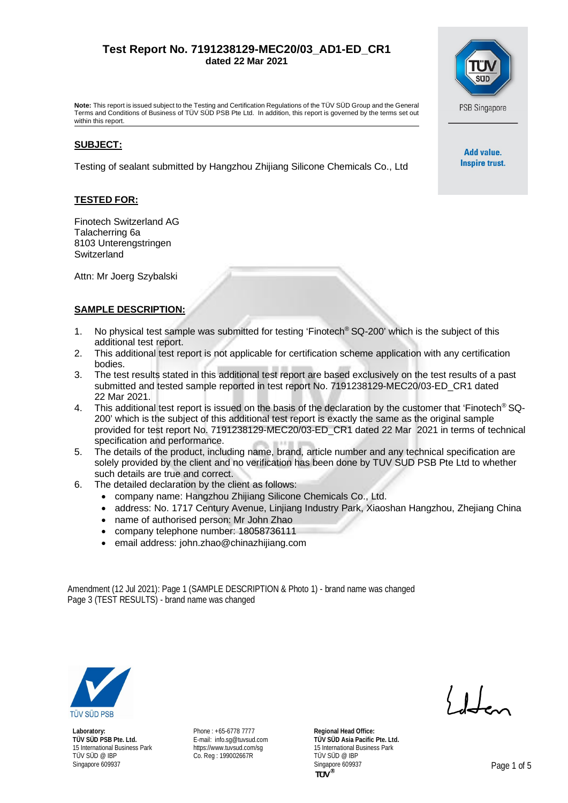# **Test Report No. 7191238129-MEC20/03\_AD1-ED\_CR1 dated 22 Mar 2021**

**PSB Singapore** 

Add value. Inspire trust.

**Note:** This report is issued subject to the Testing and Certification Regulations of the TÜV SÜD Group and the General Terms and Conditions of Business of TÜV SÜD PSB Pte Ltd. In addition, this report is governed by the terms set out within this report.

## **SUBJECT:**

Testing of sealant submitted by Hangzhou Zhijiang Silicone Chemicals Co., Ltd

## **TESTED FOR:**

Finotech Switzerland AG Talacherring 6a 8103 Unterengstringen **Switzerland** 

Attn: Mr Joerg Szybalski

# **SAMPLE DESCRIPTION:**

- 1. No physical test sample was submitted for testing 'Finotech® SQ-200' which is the subject of this additional test report.
- 2. This additional test report is not applicable for certification scheme application with any certification bodies.
- 3. The test results stated in this additional test report are based exclusively on the test results of a past submitted and tested sample reported in test report No. 7191238129-MEC20/03-ED\_CR1 dated 22 Mar 2021.
- 4. This additional test report is issued on the basis of the declaration by the customer that 'Finotech® SQ-200' which is the subject of this additional test report is exactly the same as the original sample provided for test report No. 7191238129-MEC20/03-ED\_CR1 dated 22 Mar 2021 in terms of technical specification and performance.
- 5. The details of the product, including name, brand, article number and any technical specification are solely provided by the client and no verification has been done by TUV SUD PSB Pte Ltd to whether such details are true and correct.
- 6. The detailed declaration by the client as follows:
	- company name: Hangzhou Zhijiang Silicone Chemicals Co., Ltd.
	- address: No. 1717 Century Avenue, Linjiang Industry Park, Xiaoshan Hangzhou, Zhejiang China
	- name of authorised person: Mr John Zhao
	- company telephone number: 18058736111
	- email address: [john.zhao@chinazhijiang.com](mailto:john.zhao@chinazhijiang.com)

Amendment (12 Jul 2021): Page 1 (SAMPLE DESCRIPTION & Photo 1) - brand name was changed Page 3 (TEST RESULTS) - brand name was changed



**Laboratory: TÜV SÜD PSB Pte. Ltd.** 15 International Business Park TÜV SÜD @ IBP Singapore 609937

Phone : +65-6778 7777 E-mail: [info.sg@tuvsud.com](mailto:info.sg@tuvsud.com) https://www.tuvsud.com/sq Co. Reg : 199002667R

**Regional Head Office: TÜV SÜD Asia Pacific Pte. Ltd.** 15 International Business Park TÜV SÜD @ IBP Singapore 609937 **Page 1 of 5 Page 1 of 5** 

 $\langle 1 \rangle$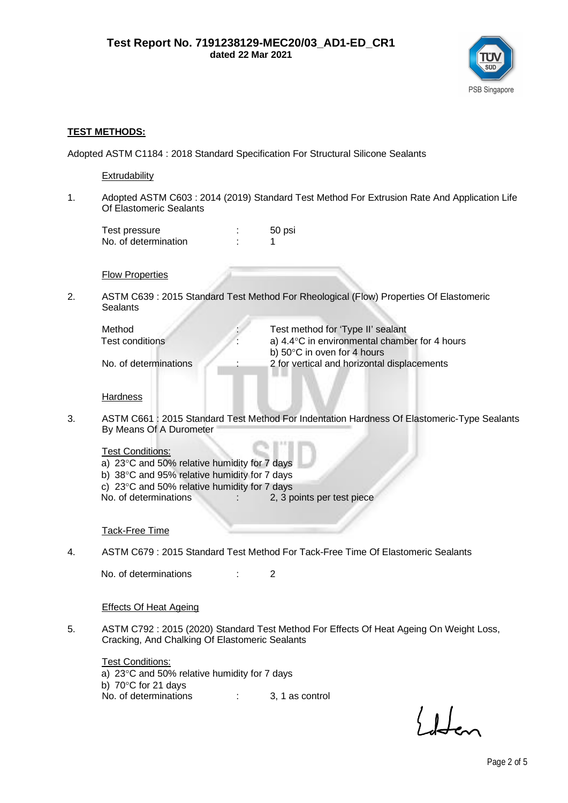

#### **TEST METHODS:**

Adopted ASTM C1184 : 2018 Standard Specification For Structural Silicone Sealants

**Extrudability** 

1. Adopted ASTM C603 : 2014 (2019) Standard Test Method For Extrusion Rate And Application Life Of Elastomeric Sealants

Test pressure in the state of the state of the state of the state of the state of the state of the state of the state of the state of the state of the state of the state of the state of the state of the state of the state No. of determination : 1

**Flow Properties** 

2. ASTM C639 : 2015 Standard Test Method For Rheological (Flow) Properties Of Elastomeric **Sealants** 

| Method                | Test method for 'Type II' sealant             |
|-----------------------|-----------------------------------------------|
| Test conditions       | a) 4.4°C in environmental chamber for 4 hours |
|                       | b) $50^{\circ}$ C in oven for 4 hours         |
| No. of determinations | 2 for vertical and horizontal displacements   |
|                       |                                               |

**Hardness** 

3. ASTM C661 : 2015 Standard Test Method For Indentation Hardness Of Elastomeric-Type Sealants By Means Of A Durometer

Test Conditions:

a)  $23^{\circ}$ C and 50% relative humidity for 7 days b)  $38^{\circ}$ C and 95% relative humidity for 7 days c)  $23^{\circ}$ C and 50% relative humidity for 7 days<br>No. of determinations  $\cdot$  2.3 p : 2, 3 points per test piece

Tack-Free Time

4. ASTM C679 : 2015 Standard Test Method For Tack-Free Time Of Elastomeric Sealants

No. of determinations : 2

## Effects Of Heat Ageing

5. ASTM C792 : 2015 (2020) Standard Test Method For Effects Of Heat Ageing On Weight Loss, Cracking, And Chalking Of Elastomeric Sealants

**Test Conditions:** a)  $23^{\circ}$ C and 50% relative humidity for 7 days b)  $70^{\circ}$ C for 21 days No. of determinations : 3, 1 as control

 $\langle 1 \rangle$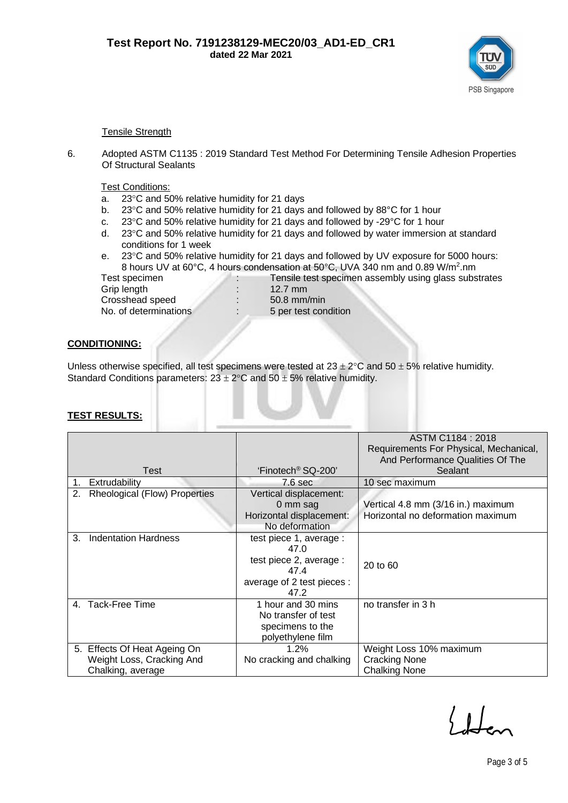

#### Tensile Strength

6. Adopted ASTM C1135 : 2019 Standard Test Method For Determining Tensile Adhesion Properties Of Structural Sealants

Test Conditions:

- a.  $23^{\circ}$ C and 50% relative humidity for 21 days
- b. 23 $\degree$ C and 50% relative humidity for 21 days and followed by 88 $\degree$ C for 1 hour
- c. 23 $\degree$ C and 50% relative humidity for 21 days and followed by -29 $\degree$ C for 1 hour
- d.  $23^{\circ}$ C and 50% relative humidity for 21 days and followed by water immersion at standard conditions for 1 week
- e.  $23^{\circ}$ C and 50% relative humidity for 21 days and followed by UV exposure for 5000 hours: 8 hours UV at 60°C, 4 hours condensation at 50°C, UVA 340 nm and 0.89 W/m<sup>2</sup>.nm

Grip length : 12.7 mm Crosshead speed : 50.8 mm/min

Test specimen **interest in the Tensile test specimen assembly using glass substrates** No. of determinations : 5 per test condition

## **CONDITIONING:**

Unless otherwise specified, all test specimens were tested at  $23 \pm 2^{\circ}$ C and 50  $\pm$  5% relative humidity. Standard Conditions parameters:  $23 \pm 2^{\circ}$ C and  $50 \pm 5%$  relative humidity.

|                                            |                                | ASTM C1184: 2018                       |  |  |
|--------------------------------------------|--------------------------------|----------------------------------------|--|--|
|                                            |                                | Requirements For Physical, Mechanical, |  |  |
|                                            |                                | And Performance Qualities Of The       |  |  |
| Test                                       | 'Finotech <sup>®</sup> SQ-200' | Sealant                                |  |  |
| Extrudability<br>1.                        | 7.6 <sub>sec</sub>             | 10 sec maximum                         |  |  |
| 2.<br><b>Rheological (Flow) Properties</b> | Vertical displacement:         |                                        |  |  |
|                                            | 0 mm sag                       | Vertical 4.8 mm (3/16 in.) maximum     |  |  |
|                                            | Horizontal displacement:       | Horizontal no deformation maximum      |  |  |
|                                            | No deformation                 |                                        |  |  |
| <b>Indentation Hardness</b><br>3.          | test piece 1, average :        |                                        |  |  |
|                                            | 47.0                           |                                        |  |  |
|                                            | test piece 2, average :        | 20 to 60                               |  |  |
|                                            | 47.4                           |                                        |  |  |
|                                            | average of 2 test pieces :     |                                        |  |  |
|                                            | 47.2                           |                                        |  |  |
| Tack-Free Time<br>4.                       | 1 hour and 30 mins             | no transfer in 3 h                     |  |  |
|                                            | No transfer of test            |                                        |  |  |
|                                            | specimens to the               |                                        |  |  |
|                                            | polyethylene film              |                                        |  |  |
| 5. Effects Of Heat Ageing On               | 1.2%                           | Weight Loss 10% maximum                |  |  |
| Weight Loss, Cracking And                  | No cracking and chalking       | <b>Cracking None</b>                   |  |  |
| Chalking, average                          |                                | <b>Chalking None</b>                   |  |  |

# **TEST RESULTS:**

 $\big\{\downarrow$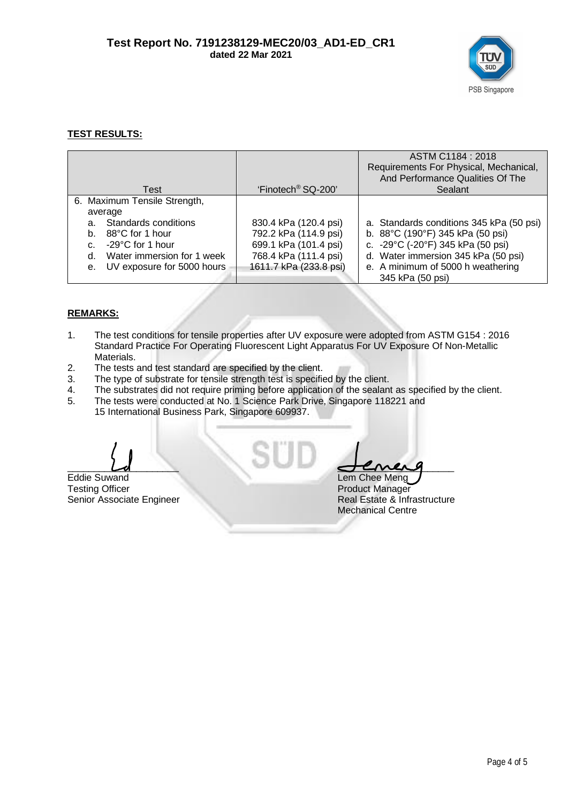

# **TEST RESULTS:**

| Test                             | 'Finotech <sup>®</sup> SQ-200' | ASTM C1184 : 2018<br>Requirements For Physical, Mechanical,<br>And Performance Qualities Of The<br>Sealant |
|----------------------------------|--------------------------------|------------------------------------------------------------------------------------------------------------|
| 6. Maximum Tensile Strength,     |                                |                                                                                                            |
| average                          |                                |                                                                                                            |
| Standards conditions<br>a.       | 830.4 kPa (120.4 psi)          | a. Standards conditions 345 kPa (50 psi)                                                                   |
| 88°C for 1 hour<br>b.            | 792.2 kPa (114.9 psi)          | b. 88°C (190°F) 345 kPa (50 psi)                                                                           |
| $-29^{\circ}$ C for 1 hour<br>C. | 699.1 kPa (101.4 psi)          | c. -29°C (-20°F) 345 kPa (50 psi)                                                                          |
| Water immersion for 1 week<br>d. | 768.4 kPa (111.4 psi)          | d. Water immersion 345 kPa (50 psi)                                                                        |
| UV exposure for 5000 hours<br>e. | 1611.7 kPa (233.8 psi)         | e. A minimum of 5000 h weathering                                                                          |
|                                  |                                | 345 kPa (50 psi)                                                                                           |

# **REMARKS:**

- 1. The test conditions for tensile properties after UV exposure were adopted from ASTM G154 : 2016 Standard Practice For Operating Fluorescent Light Apparatus For UV Exposure Of Non-Metallic Materials.
- 2. The tests and test standard are specified by the client.
- 3. The type of substrate for tensile strength test is specified by the client.
- 4. The substrates did not require priming before application of the sealant as specified by the client.
- 5. The tests were conducted at No. 1 Science Park Drive, Singapore 118221 and 15 International Business Park, Singapore 609937.

Eddie Suwand<br>Testing Officer Product Manager<br>Product Manager Senior Associate Engineer

 $\overline{\phantom{a}}$   $\overline{\phantom{a}}$   $\overline{\phantom{a}}$   $\overline{\phantom{a}}$   $\overline{\phantom{a}}$   $\overline{\phantom{a}}$   $\overline{\phantom{a}}$   $\overline{\phantom{a}}$   $\overline{\phantom{a}}$   $\overline{\phantom{a}}$   $\overline{\phantom{a}}$   $\overline{\phantom{a}}$   $\overline{\phantom{a}}$   $\overline{\phantom{a}}$   $\overline{\phantom{a}}$   $\overline{\phantom{a}}$   $\overline{\phantom{a}}$   $\overline{\phantom{a}}$   $\overline{\$ 

Product Manager<br>Real Estate & Infrastructure Mechanical Centre